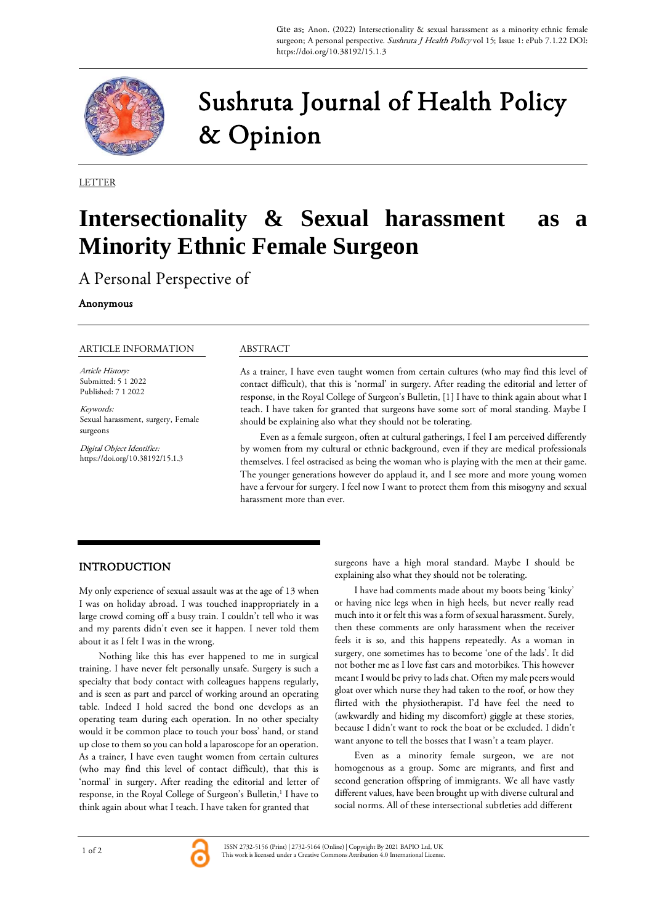

# Sushruta Journal of Health Policy & Opinion

LETTER

# **Intersectionality & Sexual harassment as a Minority Ethnic Female Surgeon**

A Personal Perspective of

#### Anonymous

#### ARTICLE INFORMATION

Article History: Submitted: 5 1 2022 Published: 7 1 2022

Keywords: Sexual harassment, surgery, Female surgeons

Digital Object Identifier: https://doi.org/10.38192/15.1.3

### ABSTRACT

As a trainer, I have even taught women from certain cultures (who may find this level of contact difficult), that this is 'normal' in surgery. After reading the editorial and letter of response, in the Royal College of Surgeon's Bulletin, [1] I have to think again about what I teach. I have taken for granted that surgeons have some sort of moral standing. Maybe I should be explaining also what they should not be tolerating.

Even as a female surgeon, often at cultural gatherings, I feel I am perceived differently by women from my cultural or ethnic background, even if they are medical professionals themselves. I feel ostracised as being the woman who is playing with the men at their game. The younger generations however do applaud it, and I see more and more young women have a fervour for surgery. I feel now I want to protect them from this misogyny and sexual harassment more than ever.

## INTRODUCTION

My only experience of sexual assault was at the age of 13 when I was on holiday abroad. I was touched inappropriately in a large crowd coming off a busy train. I couldn't tell who it was and my parents didn't even see it happen. I never told them about it as I felt I was in the wrong.

Nothing like this has ever happened to me in surgical training. I have never felt personally unsafe. Surgery is such a specialty that body contact with colleagues happens regularly, and is seen as part and parcel of working around an operating table. Indeed I hold sacred the bond one develops as an operating team during each operation. In no other specialty would it be common place to touch your boss' hand, or stand up close to them so you can hold a laparoscope for an operation. As a trainer, I have even taught women from certain cultures (who may find this level of contact difficult), that this is 'normal' in surgery. After reading the editorial and letter of response, in the Royal College of Surgeon's Bulletin,<sup>1</sup> I have to think again about what I teach. I have taken for granted that

surgeons have a high moral standard. Maybe I should be explaining also what they should not be tolerating.

I have had comments made about my boots being 'kinky' or having nice legs when in high heels, but never really read much into it or felt this was a form of sexual harassment. Surely, then these comments are only harassment when the receiver feels it is so, and this happens repeatedly. As a woman in surgery, one sometimes has to become 'one of the lads'. It did not bother me as I love fast cars and motorbikes. This however meant I would be privy to lads chat. Often my male peers would gloat over which nurse they had taken to the roof, or how they flirted with the physiotherapist. I'd have feel the need to (awkwardly and hiding my discomfort) giggle at these stories, because I didn't want to rock the boat or be excluded. I didn't want anyone to tell the bosses that I wasn't a team player.

Even as a minority female surgeon, we are not homogenous as a group. Some are migrants, and first and second generation offspring of immigrants. We all have vastly different values, have been brought up with diverse cultural and social norms. All of these intersectional subtleties add different